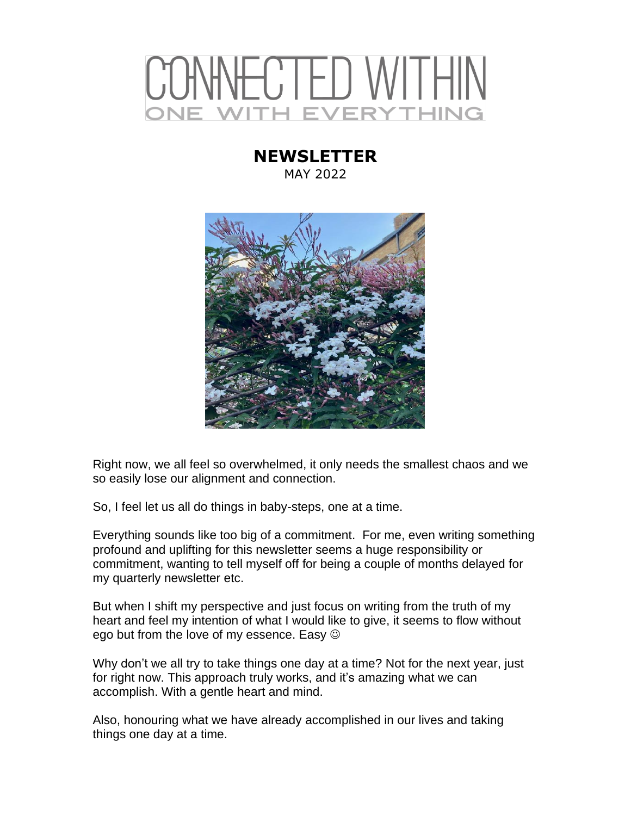# **VECTED WITHIN** H EVERYTHING

### **NEWSLETTER** MAY 2022



Right now, we all feel so overwhelmed, it only needs the smallest chaos and we so easily lose our alignment and connection.

So, I feel let us all do things in baby-steps, one at a time.

Everything sounds like too big of a commitment. For me, even writing something profound and uplifting for this newsletter seems a huge responsibility or commitment, wanting to tell myself off for being a couple of months delayed for my quarterly newsletter etc.

But when I shift my perspective and just focus on writing from the truth of my heart and feel my intention of what I would like to give, it seems to flow without ego but from the love of my essence. Easy  $\odot$ 

Why don't we all try to take things one day at a time? Not for the next year, just for right now. This approach truly works, and it's amazing what we can accomplish. With a gentle heart and mind.

Also, honouring what we have already accomplished in our lives and taking things one day at a time.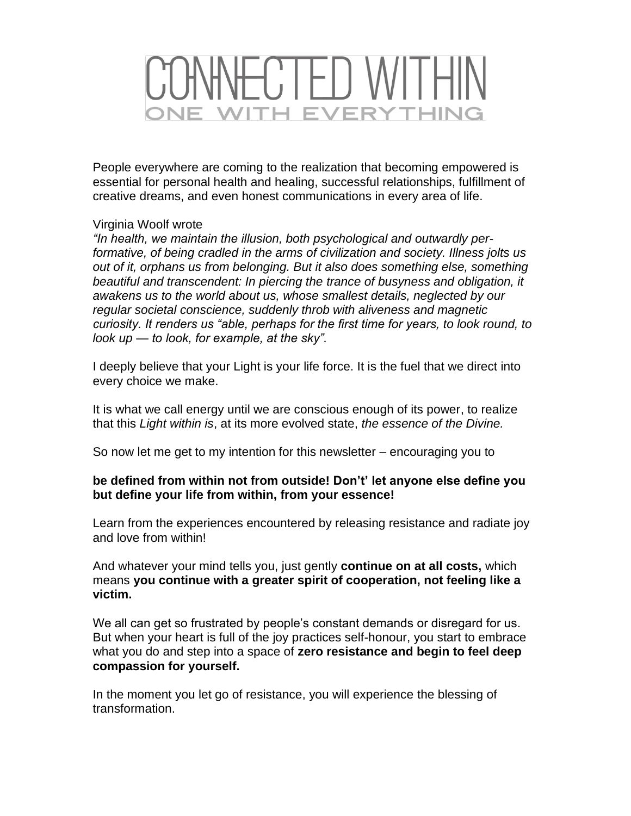## CONNECTED WITHIN **VE WITH EVERYTHING**

People everywhere are coming to the realization that becoming empowered is essential for personal health and healing, successful relationships, fulfillment of creative dreams, and even honest communications in every area of life.

### Virginia Woolf wrote

*"In health, we maintain the illusion, both psychological and outwardly performative, of being cradled in the arms of civilization and society. Illness jolts us out of it, orphans us from belonging. But it also does something else, something beautiful and transcendent: In piercing the trance of busyness and obligation, it awakens us to the world about us, whose smallest details, neglected by our regular societal conscience, suddenly throb with aliveness and magnetic curiosity. It renders us "able, perhaps for the first time for years, to look round, to look up — to look, for example, at the sky".*

I deeply believe that your Light is your life force. It is the fuel that we direct into every choice we make.

It is what we call energy until we are conscious enough of its power, to realize that this *Light within is*, at its more evolved state, *the essence of the Divine.*

So now let me get to my intention for this newsletter – encouraging you to

### **be defined from within not from outside! Don't' let anyone else define you but define your life from within, from your essence!**

Learn from the experiences encountered by releasing resistance and radiate joy and love from within!

And whatever your mind tells you, just gently **continue on at all costs,** which means **you continue with a greater spirit of cooperation, not feeling like a victim.**

We all can get so frustrated by people's constant demands or disregard for us. But when your heart is full of the joy practices self-honour, you start to embrace what you do and step into a space of **zero resistance and begin to feel deep compassion for yourself.**

In the moment you let go of resistance, you will experience the blessing of transformation.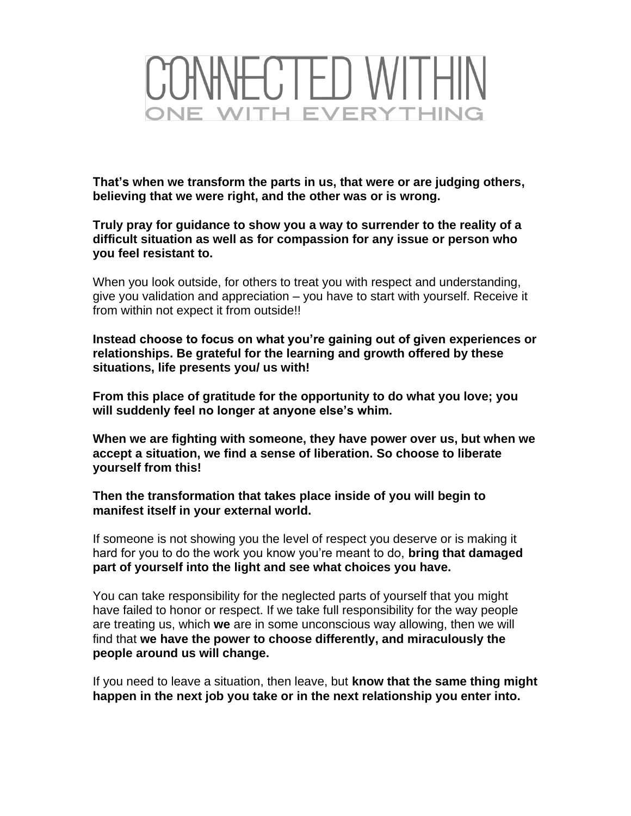

**That's when we transform the parts in us, that were or are judging others, believing that we were right, and the other was or is wrong.** 

**Truly pray for guidance to show you a way to surrender to the reality of a difficult situation as well as for compassion for any issue or person who you feel resistant to.**

When you look outside, for others to treat you with respect and understanding, give you validation and appreciation – you have to start with yourself. Receive it from within not expect it from outside!!

**Instead choose to focus on what you're gaining out of given experiences or relationships. Be grateful for the learning and growth offered by these situations, life presents you/ us with!**

**From this place of gratitude for the opportunity to do what you love; you will suddenly feel no longer at anyone else's whim.** 

**When we are fighting with someone, they have power over us, but when we accept a situation, we find a sense of liberation. So choose to liberate yourself from this!**

**Then the transformation that takes place inside of you will begin to manifest itself in your external world.**

If someone is not showing you the level of respect you deserve or is making it hard for you to do the work you know you're meant to do, **bring that damaged part of yourself into the light and see what choices you have.** 

You can take responsibility for the neglected parts of yourself that you might have failed to honor or respect. If we take full responsibility for the way people are treating us, which **we** are in some unconscious way allowing, then we will find that **we have the power to choose differently, and miraculously the people around us will change.**

If you need to leave a situation, then leave, but **know that the same thing might happen in the next job you take or in the next relationship you enter into.**